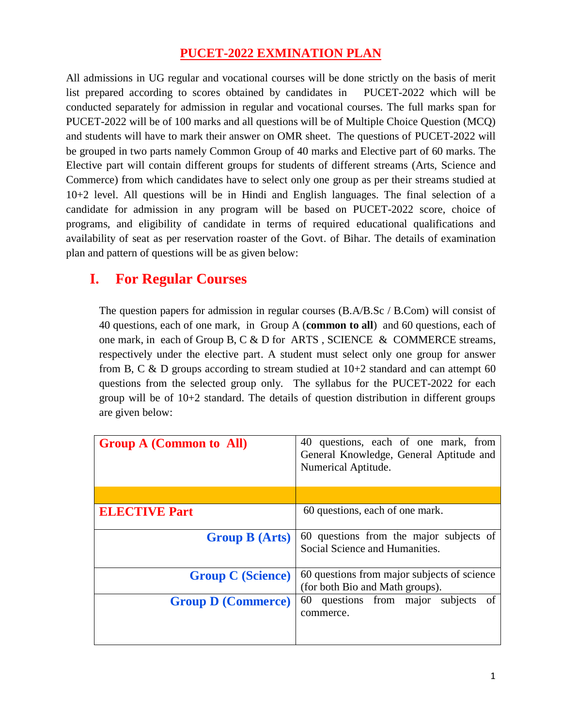## **PUCET-2022 EXMINATION PLAN**

All admissions in UG regular and vocational courses will be done strictly on the basis of merit list prepared according to scores obtained by candidates in PUCET-2022 which will be conducted separately for admission in regular and vocational courses. The full marks span for PUCET-2022 will be of 100 marks and all questions will be of Multiple Choice Question (MCQ) and students will have to mark their answer on OMR sheet. The questions of PUCET-2022 will be grouped in two parts namely Common Group of 40 marks and Elective part of 60 marks. The Elective part will contain different groups for students of different streams (Arts, Science and Commerce) from which candidates have to select only one group as per their streams studied at 10+2 level. All questions will be in Hindi and English languages. The final selection of a candidate for admission in any program will be based on PUCET-2022 score, choice of programs, and eligibility of candidate in terms of required educational qualifications and availability of seat as per reservation roaster of the Govt. of Bihar. The details of examination plan and pattern of questions will be as given below:

## **I. For Regular Courses**

The question papers for admission in regular courses (B.A/B.Sc / B.Com) will consist of 40 questions, each of one mark, in Group A (**common to all**) and 60 questions, each of one mark, in each of Group B, C & D for ARTS , SCIENCE & COMMERCE streams, respectively under the elective part. A student must select only one group for answer from B, C & D groups according to stream studied at  $10+2$  standard and can attempt 60 questions from the selected group only. The syllabus for the PUCET-2022 for each group will be of 10+2 standard. The details of question distribution in different groups are given below:

| <b>Group A (Common to All)</b> | 40 questions, each of one mark, from<br>General Knowledge, General Aptitude and<br>Numerical Aptitude. |
|--------------------------------|--------------------------------------------------------------------------------------------------------|
|                                |                                                                                                        |
| <b>ELECTIVE Part</b>           | 60 questions, each of one mark.                                                                        |
| <b>Group B (Arts)</b>          | 60 questions from the major subjects of<br>Social Science and Humanities.                              |
| <b>Group C</b> (Science)       | 60 questions from major subjects of science<br>(for both Bio and Math groups).                         |
| <b>Group D (Commerce)</b>      | 60 questions from major subjects<br>of<br>commerce.                                                    |